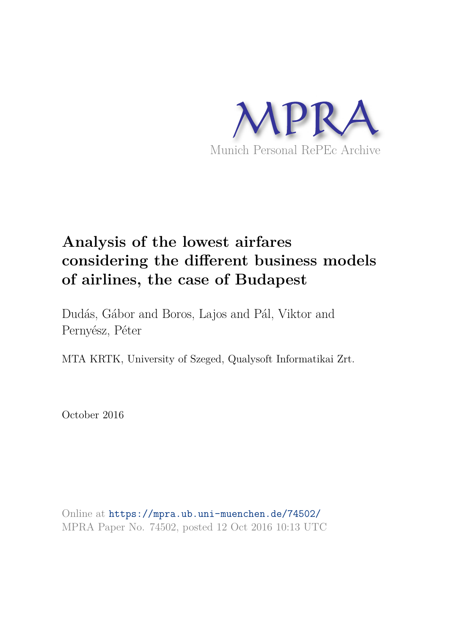

# **Analysis of the lowest airfares considering the different business models of airlines, the case of Budapest**

Dudás, Gábor and Boros, Lajos and Pál, Viktor and Pernyész, Péter

MTA KRTK, University of Szeged, Qualysoft Informatikai Zrt.

October 2016

Online at https://mpra.ub.uni-muenchen.de/74502/ MPRA Paper No. 74502, posted 12 Oct 2016 10:13 UTC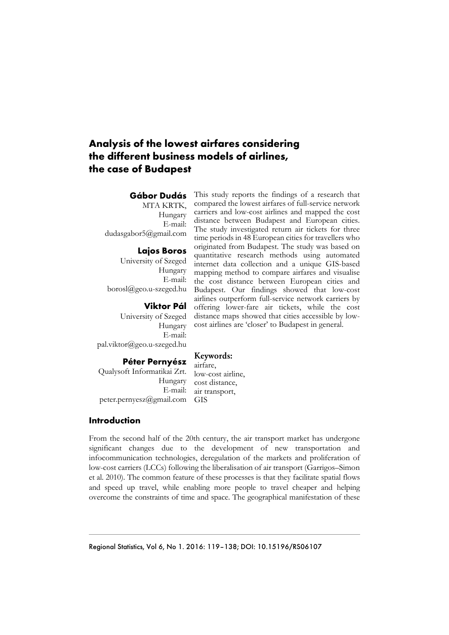## **Analysis of the lowest airfares considering the different business models of airlines, the case of Budapest**

## **Gábor Dudás**

MTA KRTK, Hungary E-mail: dudasgabor5@gmail.com

#### **Lajos Boros**

University of Szeged Hungary E-mail: borosl@geo.u-szeged.hu

#### **Viktor Pál**

University of Szeged Hungary E-mail: pal.viktor@geo.u-szeged.hu

This study reports the findings of a research that compared the lowest airfares of full-service network carriers and low-cost airlines and mapped the cost distance between Budapest and European cities. The study investigated return air tickets for three time periods in 48 European cities for travellers who originated from Budapest. The study was based on quantitative research methods using automated internet data collection and a unique GIS-based mapping method to compare airfares and visualise the cost distance between European cities and Budapest. Our findings showed that low-cost airlines outperform full-service network carriers by offering lower-fare air tickets, while the cost distance maps showed that cities accessible by lowcost airlines are 'closer' to Budapest in general.

#### **Keywords:**

## **Péter Pernyész**

Qualysoft Informatikai Zrt. Hungary E-mail: peter.pernyesz@gmail.com GIS

airfare, low-cost airline, cost distance, air transport,

## **Introduction**

From the second half of the 20th century, the air transport market has undergone significant changes due to the development of new transportation and infocommunication technologies, deregulation of the markets and proliferation of low-cost carriers (LCCs) following the liberalisation of air transport (Garrigos–Simon et al. 2010). The common feature of these processes is that they facilitate spatial flows and speed up travel, while enabling more people to travel cheaper and helping overcome the constraints of time and space. The geographical manifestation of these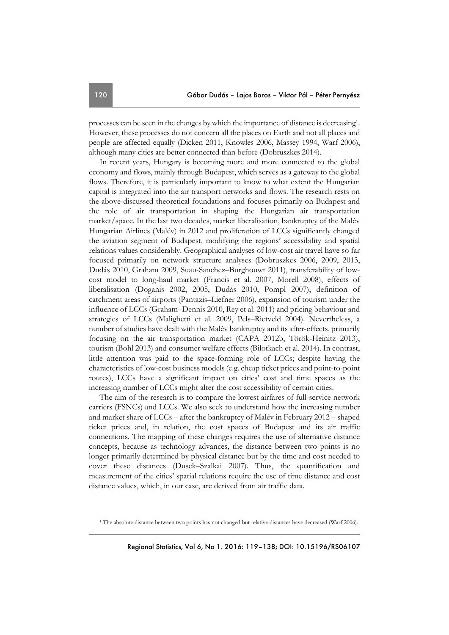processes can be seen in the changes by which the importance of distance is decreasing<sup>1</sup>. However, these processes do not concern all the places on Earth and not all places and people are affected equally (Dicken 2011, Knowles 2006, Massey 1994, Warf 2006), although many cities are better connected than before (Dobruszkes 2014).

In recent years, Hungary is becoming more and more connected to the global economy and flows, mainly through Budapest, which serves as a gateway to the global flows. Therefore, it is particularly important to know to what extent the Hungarian capital is integrated into the air transport networks and flows. The research rests on the above-discussed theoretical foundations and focuses primarily on Budapest and the role of air transportation in shaping the Hungarian air transportation market/space. In the last two decades, market liberalisation, bankruptcy of the Malév Hungarian Airlines (Malév) in 2012 and proliferation of LCCs significantly changed the aviation segment of Budapest, modifying the regions' accessibility and spatial relations values considerably. Geographical analyses of low-cost air travel have so far focused primarily on network structure analyses (Dobruszkes 2006, 2009, 2013, Dudás 2010, Graham 2009, Suau-Sanchez–Burghouwt 2011), transferability of lowcost model to long-haul market (Francis et al. 2007, Morell 2008), effects of liberalisation (Doganis 2002, 2005, Dudás 2010, Pompl 2007), definition of catchment areas of airports (Pantazis–Liefner 2006), expansion of tourism under the influence of LCCs (Graham–Dennis 2010, Rey et al. 2011) and pricing behaviour and strategies of LCCs (Malighetti et al. 2009, Pels–Rietveld 2004). Nevertheless, a number of studies have dealt with the Malév bankruptcy and its after-effects, primarily focusing on the air transportation market (CAPA 2012b, Török-Heinitz 2013), tourism (Bohl 2013) and consumer welfare effects (Bilotkach et al. 2014). In contrast, little attention was paid to the space-forming role of LCCs; despite having the characteristics of low-cost business models (e.g. cheap ticket prices and point-to-point routes), LCCs have a significant impact on cities' cost and time spaces as the increasing number of LCCs might alter the cost accessibility of certain cities.

The aim of the research is to compare the lowest airfares of full-service network carriers (FSNCs) and LCCs. We also seek to understand how the increasing number and market share of LCCs – after the bankruptcy of Malév in February 2012 – shaped ticket prices and, in relation, the cost spaces of Budapest and its air traffic connections. The mapping of these changes requires the use of alternative distance concepts, because as technology advances, the distance between two points is no longer primarily determined by physical distance but by the time and cost needed to cover these distances (Dusek–Szalkai 2007). Thus, the quantification and measurement of the cities' spatial relations require the use of time distance and cost distance values, which, in our case, are derived from air traffic data.

<sup>&</sup>lt;sup>1</sup> The absolute distance between two points has not changed but relative distances have decreased (Warf 2006).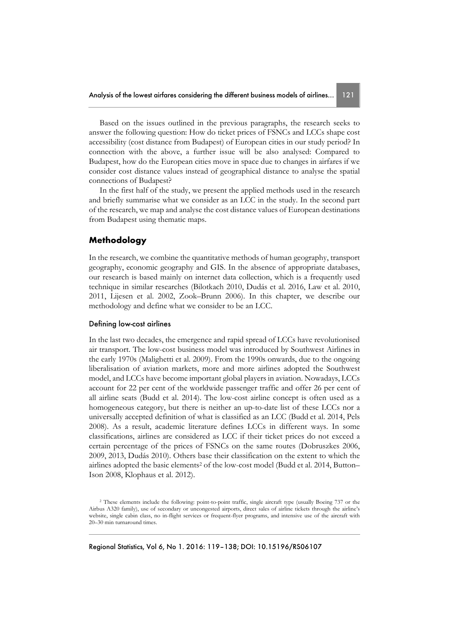Based on the issues outlined in the previous paragraphs, the research seeks to answer the following question: How do ticket prices of FSNCs and LCCs shape cost accessibility (cost distance from Budapest) of European cities in our study period? In connection with the above, a further issue will be also analysed: Compared to Budapest, how do the European cities move in space due to changes in airfares if we consider cost distance values instead of geographical distance to analyse the spatial connections of Budapest?

In the first half of the study, we present the applied methods used in the research and briefly summarise what we consider as an LCC in the study. In the second part of the research, we map and analyse the cost distance values of European destinations from Budapest using thematic maps.

## **Methodology**

In the research, we combine the quantitative methods of human geography, transport geography, economic geography and GIS. In the absence of appropriate databases, our research is based mainly on internet data collection, which is a frequently used technique in similar researches (Bilotkach 2010, Dudás et al. 2016, Law et al. 2010, 2011, Lijesen et al. 2002, Zook–Brunn 2006). In this chapter, we describe our methodology and define what we consider to be an LCC.

#### Defining low-cost airlines

In the last two decades, the emergence and rapid spread of LCCs have revolutionised air transport. The low-cost business model was introduced by Southwest Airlines in the early 1970s (Malighetti et al. 2009). From the 1990s onwards, due to the ongoing liberalisation of aviation markets, more and more airlines adopted the Southwest model, and LCCs have become important global players in aviation. Nowadays, LCCs account for 22 per cent of the worldwide passenger traffic and offer 26 per cent of all airline seats (Budd et al. 2014). The low-cost airline concept is often used as a homogeneous category, but there is neither an up-to-date list of these LCCs nor a universally accepted definition of what is classified as an LCC (Budd et al. 2014, Pels 2008). As a result, academic literature defines LCCs in different ways. In some classifications, airlines are considered as LCC if their ticket prices do not exceed a certain percentage of the prices of FSNCs on the same routes (Dobruszkes 2006, 2009, 2013, Dudás 2010). Others base their classification on the extent to which the airlines adopted the basic elements<sup>2</sup> of the low-cost model (Budd et al. 2014, Button– Ison 2008, Klophaus et al. 2012).

<sup>&</sup>lt;sup>2</sup> These elements include the following: point-to-point traffic, single aircraft type (usually Boeing 737 or the Airbus A320 family), use of secondary or uncongested airports, direct sales of airline tickets through the airline's website, single cabin class, no in-flight services or frequent-flyer programs, and intensive use of the aircraft with 20–30 min turnaround times.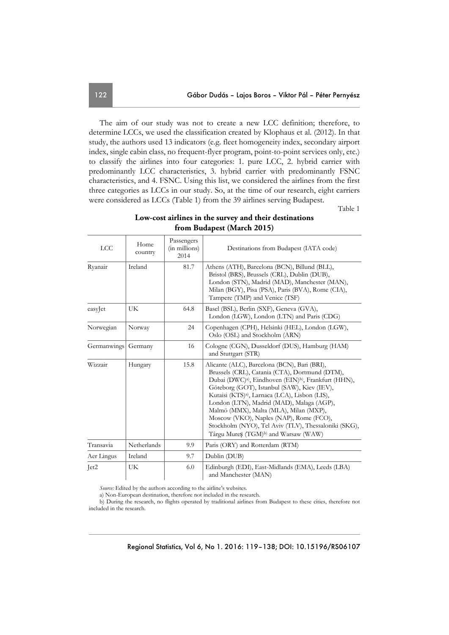The aim of our study was not to create a new LCC definition; therefore, to determine LCCs, we used the classification created by Klophaus et al. (2012). In that study, the authors used 13 indicators (e.g. fleet homogeneity index, secondary airport index, single cabin class, no frequent-flyer program, point-to-point services only, etc.) to classify the airlines into four categories: 1. pure LCC, 2. hybrid carrier with predominantly LCC characteristics, 3. hybrid carrier with predominantly FSNC characteristics, and 4. FSNC. Using this list, we considered the airlines from the first three categories as LCCs in our study. So, at the time of our research, eight carriers were considered as LCCs (Table 1) from the 39 airlines serving Budapest.

Table 1

| <b>LCC</b>  | Home<br>country | Passengers<br>(in millions)<br>2014 | Destinations from Budapest (IATA code)                                                                                                                                                                                                                                                                                                                                                                                                                                                                                                    |  |  |  |
|-------------|-----------------|-------------------------------------|-------------------------------------------------------------------------------------------------------------------------------------------------------------------------------------------------------------------------------------------------------------------------------------------------------------------------------------------------------------------------------------------------------------------------------------------------------------------------------------------------------------------------------------------|--|--|--|
| Ryanair     | Ireland         | 81.7                                | Athens (ATH), Barcelona (BCN), Billund (BLL),<br>Bristol (BRS), Brussels (CRL), Dublin (DUB),<br>London (STN), Madrid (MAD), Manchester (MAN),<br>Milan (BGY), Pisa (PSA), Paris (BVA), Rome (CIA),<br>Tampere (TMP) and Venice (TSF)                                                                                                                                                                                                                                                                                                     |  |  |  |
| easyJet     | UK              | 64.8                                | Basel (BSL), Berlin (SXF), Geneva (GVA),<br>London (LGW), London (LTN) and Paris (CDG)                                                                                                                                                                                                                                                                                                                                                                                                                                                    |  |  |  |
| Norwegian   | Norway          | 24                                  | Copenhagen (CPH), Helsinki (HEL), London (LGW),<br>Oslo (OSL) and Stockholm (ARN)                                                                                                                                                                                                                                                                                                                                                                                                                                                         |  |  |  |
| Germanwings | Germany         | 16                                  | Cologne (CGN), Dusseldorf (DUS), Hamburg (HAM)<br>and Stuttgart (STR)                                                                                                                                                                                                                                                                                                                                                                                                                                                                     |  |  |  |
| Wizzair     | Hungary         | 15.8                                | Alicante (ALC), Barcelona (BCN), Bari (BRI),<br>Brussels (CRL), Catania (CTA), Dortmund (DTM),<br>Dubai (DWC) <sup>a)</sup> , Eindhoven (EIN) <sup>b)</sup> , Frankfurt (HHN),<br>Göteborg (GOT), Istanbul (SAW), Kiev (IEV),<br>Kutaisi (KTS) <sup>a)</sup> , Larnaca (LCA), Lisbon (LIS),<br>London (LTN), Madrid (MAD), Malaga (AGP),<br>Malmö (MMX), Malta (MLA), Milan (MXP),<br>Moscow (VKO), Naples (NAP), Rome (FCO),<br>Stockholm (NYO), Tel Aviv (TLV), Thessaloniki (SKG),<br>Târgu Mureș (TGM) <sup>b)</sup> and Warsaw (WAW) |  |  |  |
| Transavia   | Netherlands     | 9.9                                 | Paris (ORY) and Rotterdam (RTM)                                                                                                                                                                                                                                                                                                                                                                                                                                                                                                           |  |  |  |
| Aer Lingus  | Ireland         | 9.7                                 | Dublin (DUB)                                                                                                                                                                                                                                                                                                                                                                                                                                                                                                                              |  |  |  |
| Let2        | UK              | 6.0                                 | Edinburgh (EDI), East-Midlands (EMA), Leeds (LBA)<br>and Manchester (MAN)                                                                                                                                                                                                                                                                                                                                                                                                                                                                 |  |  |  |

## **Low-cost airlines in the survey and their destinations from Budapest (March 2015)**

*Source:* Edited by the authors according to the airline's websites.

a) Non-European destination, therefore not included in the research.

b) During the research, no flights operated by traditional airlines from Budapest to these cities, therefore not included in the research.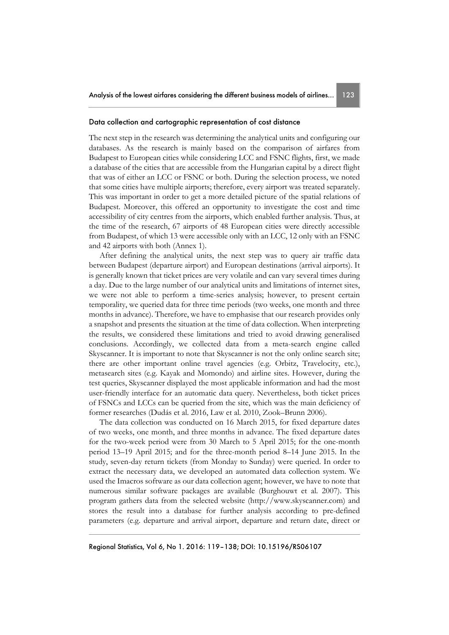#### Data collection and cartographic representation of cost distance

The next step in the research was determining the analytical units and configuring our databases. As the research is mainly based on the comparison of airfares from Budapest to European cities while considering LCC and FSNC flights, first, we made a database of the cities that are accessible from the Hungarian capital by a direct flight that was of either an LCC or FSNC or both. During the selection process, we noted that some cities have multiple airports; therefore, every airport was treated separately. This was important in order to get a more detailed picture of the spatial relations of Budapest. Moreover, this offered an opportunity to investigate the cost and time accessibility of city centres from the airports, which enabled further analysis. Thus, at the time of the research, 67 airports of 48 European cities were directly accessible from Budapest, of which 13 were accessible only with an LCC, 12 only with an FSNC and 42 airports with both (Annex 1).

After defining the analytical units, the next step was to query air traffic data between Budapest (departure airport) and European destinations (arrival airports). It is generally known that ticket prices are very volatile and can vary several times during a day. Due to the large number of our analytical units and limitations of internet sites, we were not able to perform a time-series analysis; however, to present certain temporality, we queried data for three time periods (two weeks, one month and three months in advance). Therefore, we have to emphasise that our research provides only a snapshot and presents the situation at the time of data collection. When interpreting the results, we considered these limitations and tried to avoid drawing generalised conclusions. Accordingly, we collected data from a meta-search engine called Skyscanner. It is important to note that Skyscanner is not the only online search site; there are other important online travel agencies (e.g. Orbitz, Travelocity, etc.), metasearch sites (e.g. Kayak and Momondo) and airline sites. However, during the test queries, Skyscanner displayed the most applicable information and had the most user-friendly interface for an automatic data query. Nevertheless, both ticket prices of FSNCs and LCCs can be queried from the site, which was the main deficiency of former researches (Dudás et al. 2016, Law et al. 2010, Zook–Brunn 2006).

The data collection was conducted on 16 March 2015, for fixed departure dates of two weeks, one month, and three months in advance. The fixed departure dates for the two-week period were from 30 March to 5 April 2015; for the one-month period 13–19 April 2015; and for the three-month period 8–14 June 2015. In the study, seven-day return tickets (from Monday to Sunday) were queried. In order to extract the necessary data, we developed an automated data collection system. We used the Imacros software as our data collection agent; however, we have to note that numerous similar software packages are available (Burghouwt et al. 2007). This program gathers data from the selected website (http://www.skyscanner.com) and stores the result into a database for further analysis according to pre-defined parameters (e.g. departure and arrival airport, departure and return date, direct or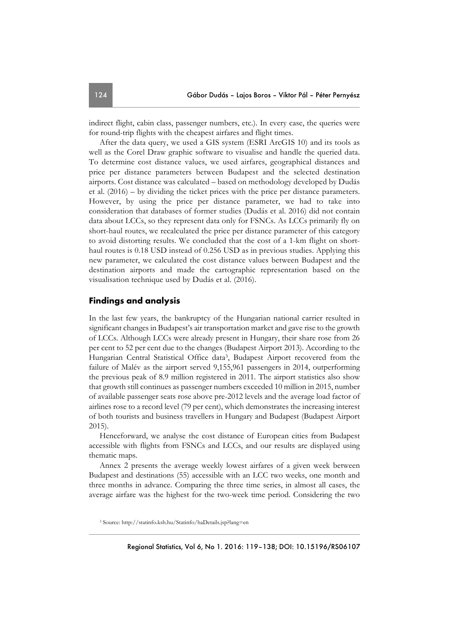indirect flight, cabin class, passenger numbers, etc.). In every case, the queries were for round-trip flights with the cheapest airfares and flight times.

After the data query, we used a GIS system (ESRI ArcGIS 10) and its tools as well as the Corel Draw graphic software to visualise and handle the queried data. To determine cost distance values, we used airfares, geographical distances and price per distance parameters between Budapest and the selected destination airports. Cost distance was calculated – based on methodology developed by Dudás et al. (2016) – by dividing the ticket prices with the price per distance parameters. However, by using the price per distance parameter, we had to take into consideration that databases of former studies (Dudás et al. 2016) did not contain data about LCCs, so they represent data only for FSNCs. As LCCs primarily fly on short-haul routes, we recalculated the price per distance parameter of this category to avoid distorting results. We concluded that the cost of a 1-km flight on shorthaul routes is 0.18 USD instead of 0.256 USD as in previous studies. Applying this new parameter, we calculated the cost distance values between Budapest and the destination airports and made the cartographic representation based on the visualisation technique used by Dudás et al. (2016).

## **Findings and analysis**

In the last few years, the bankruptcy of the Hungarian national carrier resulted in significant changes in Budapest's air transportation market and gave rise to the growth of LCCs. Although LCCs were already present in Hungary, their share rose from 26 per cent to 52 per cent due to the changes (Budapest Airport 2013). According to the Hungarian Central Statistical Office data<sup>3</sup>, Budapest Airport recovered from the failure of Malév as the airport served 9,155,961 passengers in 2014, outperforming the previous peak of 8.9 million registered in 2011. The airport statistics also show that growth still continues as passenger numbers exceeded 10 million in 2015, number of available passenger seats rose above pre-2012 levels and the average load factor of airlines rose to a record level (79 per cent), which demonstrates the increasing interest of both tourists and business travellers in Hungary and Budapest (Budapest Airport 2015).

Henceforward, we analyse the cost distance of European cities from Budapest accessible with flights from FSNCs and LCCs, and our results are displayed using thematic maps.

Annex 2 presents the average weekly lowest airfares of a given week between Budapest and destinations (55) accessible with an LCC two weeks, one month and three months in advance. Comparing the three time series, in almost all cases, the average airfare was the highest for the two-week time period. Considering the two

<sup>3</sup> Source: http://statinfo.ksh.hu/Statinfo/haDetails.jsp?lang=en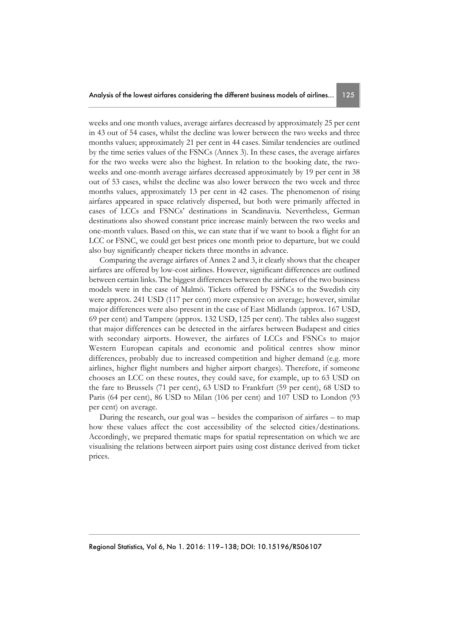weeks and one month values, average airfares decreased by approximately 25 per cent in 43 out of 54 cases, whilst the decline was lower between the two weeks and three months values; approximately 21 per cent in 44 cases. Similar tendencies are outlined by the time series values of the FSNCs (Annex 3). In these cases, the average airfares for the two weeks were also the highest. In relation to the booking date, the twoweeks and one-month average airfares decreased approximately by 19 per cent in 38 out of 53 cases, whilst the decline was also lower between the two week and three months values, approximately 13 per cent in 42 cases. The phenomenon of rising airfares appeared in space relatively dispersed, but both were primarily affected in cases of LCCs and FSNCs' destinations in Scandinavia. Nevertheless, German destinations also showed constant price increase mainly between the two weeks and one-month values. Based on this, we can state that if we want to book a flight for an LCC or FSNC, we could get best prices one month prior to departure, but we could also buy significantly cheaper tickets three months in advance.

Comparing the average airfares of Annex 2 and 3, it clearly shows that the cheaper airfares are offered by low-cost airlines. However, significant differences are outlined between certain links. The biggest differences between the airfares of the two business models were in the case of Malmö. Tickets offered by FSNCs to the Swedish city were approx. 241 USD (117 per cent) more expensive on average; however, similar major differences were also present in the case of East Midlands (approx. 167 USD, 69 per cent) and Tampere (approx. 132 USD, 125 per cent). The tables also suggest that major differences can be detected in the airfares between Budapest and cities with secondary airports. However, the airfares of LCCs and FSNCs to major Western European capitals and economic and political centres show minor differences, probably due to increased competition and higher demand (e.g. more airlines, higher flight numbers and higher airport charges). Therefore, if someone chooses an LCC on these routes, they could save, for example, up to 63 USD on the fare to Brussels (71 per cent), 63 USD to Frankfurt (59 per cent), 68 USD to Paris (64 per cent), 86 USD to Milan (106 per cent) and 107 USD to London (93 per cent) on average.

During the research, our goal was – besides the comparison of airfares – to map how these values affect the cost accessibility of the selected cities/destinations. Accordingly, we prepared thematic maps for spatial representation on which we are visualising the relations between airport pairs using cost distance derived from ticket prices.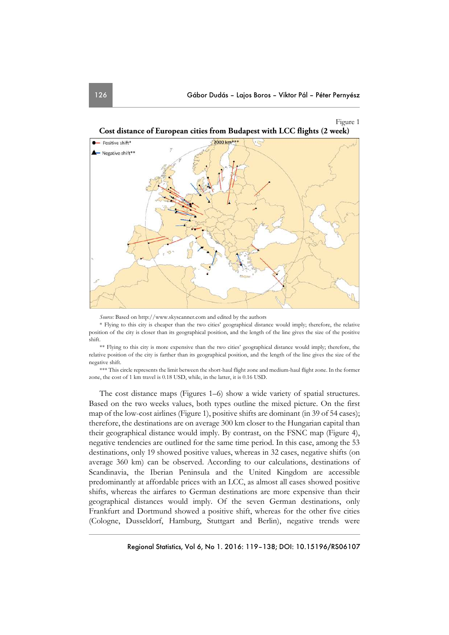



*Source:* Based on http://www.skyscanner.com and edited by the authors

\* Flying to this city is cheaper than the two cities' geographical distance would imply; therefore, the relative position of the city is closer than its geographical position, and the length of the line gives the size of the positive shift.

\*\* Flying to this city is more expensive than the two cities' geographical distance would imply; therefore, the relative position of the city is farther than its geographical position, and the length of the line gives the size of the negative shift.

\*\*\* This circle represents the limit between the short-haul flight zone and medium-haul flight zone. In the former zone, the cost of 1 km travel is 0.18 USD, while, in the latter, it is 0.16 USD.

The cost distance maps (Figures 1–6) show a wide variety of spatial structures. Based on the two weeks values, both types outline the mixed picture. On the first map of the low-cost airlines (Figure 1), positive shifts are dominant (in 39 of 54 cases); therefore, the destinations are on average 300 km closer to the Hungarian capital than their geographical distance would imply. By contrast, on the FSNC map (Figure 4), negative tendencies are outlined for the same time period. In this case, among the 53 destinations, only 19 showed positive values, whereas in 32 cases, negative shifts (on average 360 km) can be observed. According to our calculations, destinations of Scandinavia, the Iberian Peninsula and the United Kingdom are accessible predominantly at affordable prices with an LCC, as almost all cases showed positive shifts, whereas the airfares to German destinations are more expensive than their geographical distances would imply. Of the seven German destinations, only Frankfurt and Dortmund showed a positive shift, whereas for the other five cities (Cologne, Dusseldorf, Hamburg, Stuttgart and Berlin), negative trends were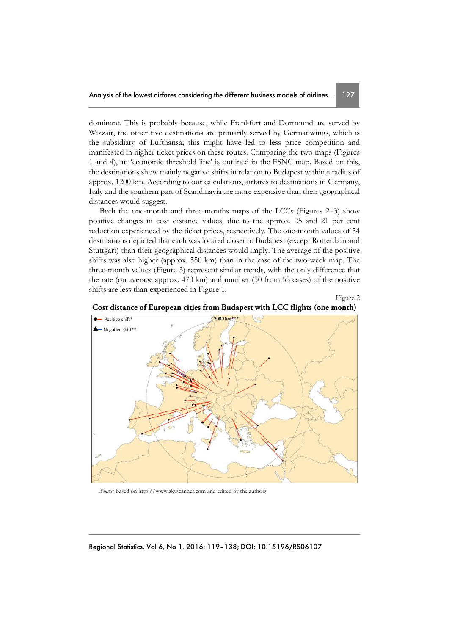dominant. This is probably because, while Frankfurt and Dortmund are served by Wizzair, the other five destinations are primarily served by Germanwings, which is the subsidiary of Lufthansa; this might have led to less price competition and manifested in higher ticket prices on these routes. Comparing the two maps (Figures 1 and 4), an 'economic threshold line' is outlined in the FSNC map. Based on this, the destinations show mainly negative shifts in relation to Budapest within a radius of approx. 1200 km. According to our calculations, airfares to destinations in Germany, Italy and the southern part of Scandinavia are more expensive than their geographical distances would suggest.

Both the one-month and three-months maps of the LCCs (Figures 2–3) show positive changes in cost distance values, due to the approx. 25 and 21 per cent reduction experienced by the ticket prices, respectively. The one-month values of 54 destinations depicted that each was located closer to Budapest (except Rotterdam and Stuttgart) than their geographical distances would imply. The average of the positive shifts was also higher (approx. 550 km) than in the case of the two-week map. The three-month values (Figure 3) represent similar trends, with the only difference that the rate (on average approx. 470 km) and number (50 from 55 cases) of the positive shifts are less than experienced in Figure 1.



**Cost distance of European cities from Budapest with LCC flights (one month)** 

Figure 2

*Source:* Based on http://www.skyscanner.com and edited by the authors.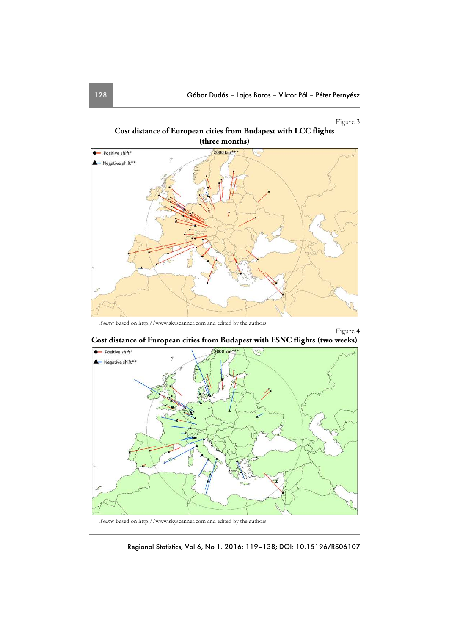## Figure 3

Figure 4





*Source:* Based on http://www.skyscanner.com and edited by the authors.



**Cost distance of European cities from Budapest with FSNC flights (two weeks)** 

*Source:* Based on http://www.skyscanner.com and edited by the authors.

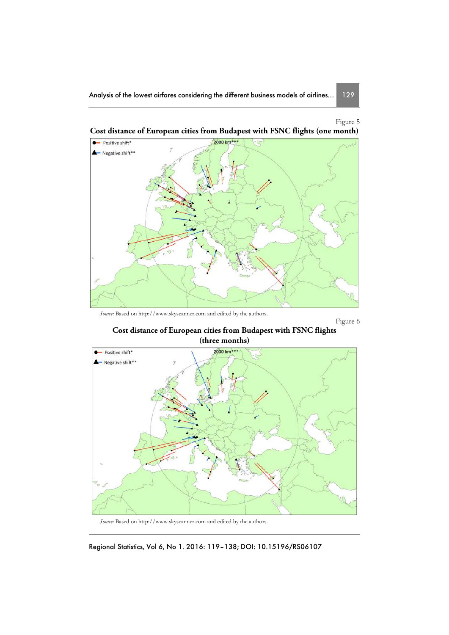

**Cost distance of European cities from Budapest with FSNC flights (one month)** 

*Source:* Based on http://www.skyscanner.com and edited by the authors.

Figure 6

**Cost distance of European cities from Budapest with FSNC flights (three months)** 



*Source:* Based on http://www.skyscanner.com and edited by the authors.

Regional Statistics, Vol 6, No 1. 2016: 119–138; DOI: 10.15196/RS06107

Figure 5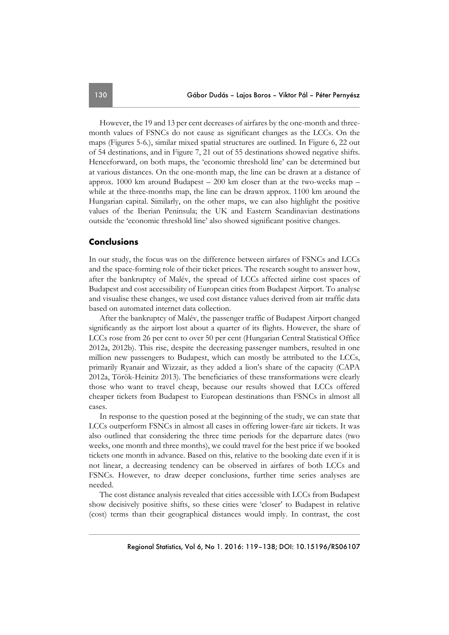However, the 19 and 13 per cent decreases of airfares by the one-month and threemonth values of FSNCs do not cause as significant changes as the LCCs. On the maps (Figures 5-6.), similar mixed spatial structures are outlined. In Figure 6, 22 out of 54 destinations, and in Figure 7, 21 out of 55 destinations showed negative shifts. Henceforward, on both maps, the 'economic threshold line' can be determined but at various distances. On the one-month map, the line can be drawn at a distance of approx. 1000 km around Budapest  $-200$  km closer than at the two-weeks map  $$ while at the three-months map, the line can be drawn approx. 1100 km around the Hungarian capital. Similarly, on the other maps, we can also highlight the positive values of the Iberian Peninsula; the UK and Eastern Scandinavian destinations outside the 'economic threshold line' also showed significant positive changes.

#### **Conclusions**

In our study, the focus was on the difference between airfares of FSNCs and LCCs and the space-forming role of their ticket prices. The research sought to answer how, after the bankruptcy of Malév, the spread of LCCs affected airline cost spaces of Budapest and cost accessibility of European cities from Budapest Airport. To analyse and visualise these changes, we used cost distance values derived from air traffic data based on automated internet data collection.

After the bankruptcy of Malév, the passenger traffic of Budapest Airport changed significantly as the airport lost about a quarter of its flights. However, the share of LCCs rose from 26 per cent to over 50 per cent (Hungarian Central Statistical Office 2012a, 2012b). This rise, despite the decreasing passenger numbers, resulted in one million new passengers to Budapest, which can mostly be attributed to the LCCs, primarily Ryanair and Wizzair, as they added a lion's share of the capacity (CAPA 2012a, Török-Heinitz 2013). The beneficiaries of these transformations were clearly those who want to travel cheap, because our results showed that LCCs offered cheaper tickets from Budapest to European destinations than FSNCs in almost all cases.

In response to the question posed at the beginning of the study, we can state that LCCs outperform FSNCs in almost all cases in offering lower-fare air tickets. It was also outlined that considering the three time periods for the departure dates (two weeks, one month and three months), we could travel for the best price if we booked tickets one month in advance. Based on this, relative to the booking date even if it is not linear, a decreasing tendency can be observed in airfares of both LCCs and FSNCs. However, to draw deeper conclusions, further time series analyses are needed.

The cost distance analysis revealed that cities accessible with LCCs from Budapest show decisively positive shifts, so these cities were 'closer' to Budapest in relative (cost) terms than their geographical distances would imply. In contrast, the cost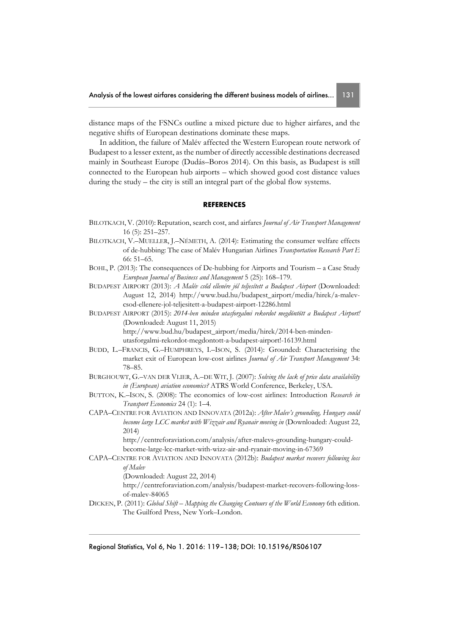distance maps of the FSNCs outline a mixed picture due to higher airfares, and the negative shifts of European destinations dominate these maps.

In addition, the failure of Malév affected the Western European route network of Budapest to a lesser extent, as the number of directly accessible destinations decreased mainly in Southeast Europe (Dudás–Boros 2014). On this basis, as Budapest is still connected to the European hub airports – which showed good cost distance values during the study – the city is still an integral part of the global flow systems.

#### **REFERENCES**

- BILOTKACH, V. (2010): Reputation, search cost, and airfares *Journal of Air Transport Management* 16 (5): 251–257.
- BILOTKACH, V.–MUELLER, J.–NÉMETH, A. (2014): Estimating the consumer welfare effects of de-hubbing: The case of Malév Hungarian Airlines *Transportation Research Part E* 66: 51–65.
- BOHL, P. (2013): The consequences of De-hubbing for Airports and Tourism a Case Study *European Journal of Business and Management* 5 (25): 168–179.
- BUDAPEST AIRPORT (2013): *A Malév csőd ellenére jól teljesített a Budapest Airport* (Downloaded: August 12, 2014) http://www.bud.hu/budapest\_airport/media/hirek/a-malevcsod-ellenere-jol-teljesitett-a-budapest-airport-12286.html
- BUDAPEST AIRPORT (2015): *2014-ben minden utasforgalmi rekordot megdöntött a Budapest Airport!* (Downloaded: August 11, 2015) http://www.bud.hu/budapest\_airport/media/hirek/2014-ben-mindenutasforgalmi-rekordot-megdontott-a-budapest-airport!-16139.html
- BUDD, L.–FRANCIS, G.–HUMPHREYS, I.–ISON, S. (2014): Grounded: Characterising the market exit of European low-cost airlines *Journal of Air Transport Management* 34: 78–85.
- BURGHOUWT, G.–VAN DER VLIER, A.–DE WIT, J. (2007): *Solving the lack of price data availability in (European) aviation economics?* ATRS World Conference, Berkeley, USA.
- BUTTON, K.–ISON, S. (2008): The economics of low-cost airlines: Introduction *Research in Transport Economics* 24 (1): 1–4.
- CAPA–CENTRE FOR AVIATION AND INNOVATA (2012a): *After Malev's grounding, Hungary could become large LCC market with Wizzair and Ryanair moving in* (Downloaded: August 22, 2014)

http://centreforaviation.com/analysis/after-malevs-grounding-hungary-couldbecome-large-lcc-market-with-wizz-air-and-ryanair-moving-in-67369

CAPA–CENTRE FOR AVIATION AND INNOVATA (2012b): *Budapest market recovers following loss of Malev*

(Downloaded: August 22, 2014)

http://centreforaviation.com/analysis/budapest-market-recovers-following-lossof-malev-84065

DICKEN, P. (2011): *Global Shift – Mapping the Changing Contours of the World Economy* 6th edition. The Guilford Press, New York–London.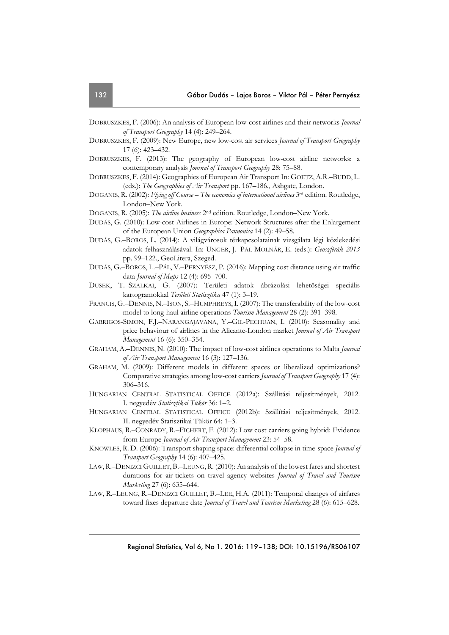- DOBRUSZKES, F. (2006): An analysis of European low-cost airlines and their networks *Journal of Transport Geography* 14 (4): 249–264.
- DOBRUSZKES, F. (2009): New Europe, new low-cost air services *Journal of Transport Geography* 17 (6): 423–432.
- DOBRUSZKES, F. (2013): The geography of European low-cost airline networks: a contemporary analysis *Journal of Transport Geography* 28: 75–88.
- DOBRUSZKES, F. (2014): Geographies of European Air Transport In: GOETZ, A.R.–BUDD, L. (eds.): *The Geographies of Air Transport* pp. 167–186., Ashgate, London.
- DOGANIS, R. (2002): *Flying off Course The economics of international airlines* 3<sup>rd</sup> edition. Routledge, London–New York.
- DOGANIS, R. (2005): *The airline business* 2nd edition. Routledge, London–New York.
- DUDÁS, G. (2010): Low-cost Airlines in Europe: Network Structures after the Enlargement of the European Union *Geographica Pannonica* 14 (2): 49–58.
- DUDÁS, G.–BOROS, L. (2014): A világvárosok térkapcsolatainak vizsgálata légi közlekedési adatok felhasználásával. In: UNGER, J.–PÁL-MOLNÁR, E. (eds.): *Geoszférák 2013* pp. 99–122., GeoLitera, Szeged.
- DUDÁS, G.–BOROS, L.–PÁL, V.–PERNYÉSZ, P. (2016): Mapping cost distance using air traffic data *Journal of Maps* 12 (4): 695–700.
- DUSEK, T.–SZALKAI, G. (2007): Területi adatok ábrázolási lehetőségei speciális kartogramokkal *Területi Statisztika* 47 (1): 3–19.
- FRANCIS, G.–DENNIS, N.–ISON, S.–HUMPHREYS,I. (2007): The transferability of the low-cost model to long-haul airline operations *Tourism Management* 28 (2): 391–398.
- GARRIGOS-SIMON, F.J.–NARANGAJAVANA, Y.–GIL-PECHUAN, I. (2010): Seasonality and price behaviour of airlines in the Alicante-London market *Journal of Air Transport Management* 16 (6): 350–354.
- GRAHAM, A.–DENNIS, N. (2010): The impact of low-cost airlines operations to Malta *Journal of Air Transport Management* 16 (3): 127–136.
- GRAHAM, M. (2009): Different models in different spaces or liberalized optimizations? Comparative strategies among low-cost carriers *Journal of Transport Geography* 17 (4): 306–316.
- HUNGARIAN CENTRAL STATISTICAL OFFICE (2012a): Szállítási teljesítmények, 2012. I. negyedév *Statisztikai Tükör* 36: 1–2.
- HUNGARIAN CENTRAL STATISTICAL OFFICE (2012b): Szállítási teljesítmények, 2012. II. negyedév Statisztikai Tükör 64: 1–3.
- KLOPHAUS, R.–CONRADY, R.–FICHERT, F. (2012): Low cost carriers going hybrid: Evidence from Europe *Journal of Air Transport Management* 23: 54–58.
- KNOWLES, R. D. (2006): Transport shaping space: differential collapse in time-space *Journal of Transport Geography* 14 (6): 407–425.
- LAW,R.–DENIZCI GUILLET,B.–LEUNG,R. (2010): An analysis of the lowest fares and shortest durations for air-tickets on travel agency websites *Journal of Travel and Tourism Marketing* 27 (6): 635–644.
- LAW, R.–LEUNG, R.–DENIZCI GUILLET, B.–LEE, H.A. (2011): Temporal changes of airfares toward fixes departure date *Journal of Travel and Tourism Marketing* 28 (6): 615–628.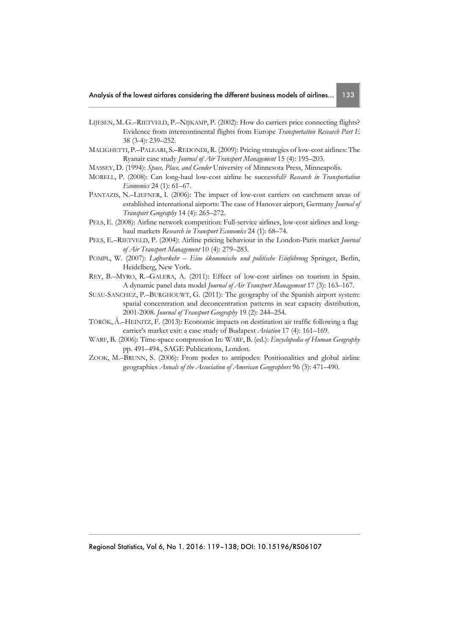- LIJESEN, M. G.–RIETVELD, P.–NIJKAMP, P. (2002): How do carriers price connecting flights? Evidence from intercontinental flights from Europe *Transportation Research Part E* 38 (3-4): 239–252.
- MALIGHETTI, P.–PALEARI, S.–REDONDI, R. (2009): Pricing strategies of low-cost airlines: The Ryanair case study *Journal of Air Transport Management* 15 (4): 195–203.
- MASSEY, D. (1994): *Space, Place, and Gender* University of Minnesota Press, Minneapolis.
- MORELL, P. (2008): Can long-haul low-cost airline be successful? *Research in Transportation Economics* 24 (1): 61–67.
- PANTAZIS, N.–LIEFNER, I. (2006): The impact of low-cost carriers on catchment areas of established international airports: The case of Hanover airport, Germany *Journal of Transport Geography* 14 (4): 265–272.
- PELS, E. (2008): Airline network competition: Full-service airlines, low-cost airlines and longhaul markets *Research in Transport Economics* 24 (1): 68–74.
- PELS, E.–RIETVELD, P. (2004): Airline pricing behaviour in the London-Paris market *Journal of Air Transport Management* 10 (4): 279–283.
- POMPL, W. (2007): *Luftverkehr Eine ökonomische und politische Einführung* Springer, Berlin, Heidelberg, New York.
- REY, B.–MYRO, R.–GALERA, A. (2011): Effect of low-cost airlines on tourism in Spain. A dynamic panel data model *Journal of Air Transport Management* 17 (3): 163–167.
- SUAU-SANCHEZ, P.–BURGHOUWT, G. (2011): The geography of the Spanish airport system: spatial concentration and deconcentration patterns in seat capacity distribution, 2001-2008. *Journal of Transport Geography* 19 (2): 244–254.
- TÖRÖK, Á.–HEINITZ, F. (2013): Economic impacts on destination air traffic following a flag carrier's market exit: a case study of Budapest *Aviation* 17 (4): 161–169.
- WARF, B. (2006): Time-space compression In: WARF, B. (ed.): *Encyclopedia of Human Geography* pp. 491–494., SAGE Publications, London.
- ZOOK, M.–BRUNN, S. (2006): From podes to antipodes: Positionalities and global airline geographies *Annals of the Association of American Geographers* 96 (3): 471–490.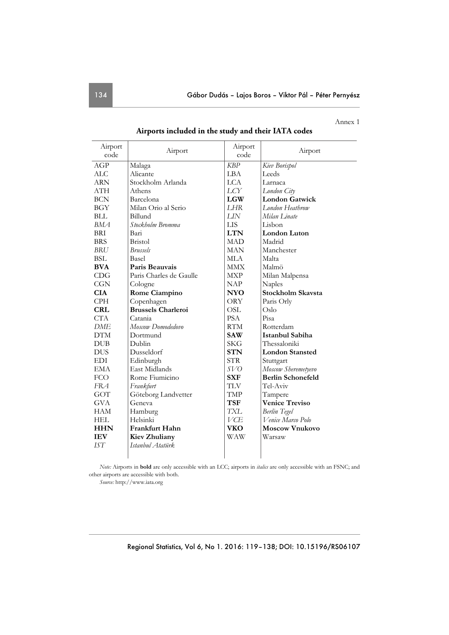Annex 1

| Airport    | Airport                   | Airport    | Airport                  |
|------------|---------------------------|------------|--------------------------|
| code       |                           | code       |                          |
| AGP        | Malaga                    | <b>KBP</b> | Kiev Borispol            |
| <b>ALC</b> | Alicante                  | LBA        | Leeds                    |
| <b>ARN</b> | Stockholm Arlanda         | <b>LCA</b> | Larnaca                  |
| <b>ATH</b> | Athens                    | LCY        | London City              |
| <b>BCN</b> | Barcelona                 | <b>LGW</b> | <b>London Gatwick</b>    |
| <b>BGY</b> | Milan Orio al Serio       | <b>LHR</b> | London Heathrow          |
| <b>BLL</b> | Billund                   | LIN        | Milan Linate             |
| BMA        | Stockholm Bromma          | <b>LIS</b> | Lisbon                   |
| <b>BRI</b> | Bari                      | <b>LTN</b> | <b>London Luton</b>      |
| <b>BRS</b> | <b>Bristol</b>            | <b>MAD</b> | Madrid                   |
| BRU        | <b>Brussels</b>           | <b>MAN</b> | Manchester               |
| <b>BSL</b> | Basel                     | <b>MLA</b> | Malta                    |
| <b>BVA</b> | Paris Beauvais            | MMX        | Malmö                    |
| CDG        | Paris Charles de Gaulle   | MXP        | Milan Malpensa           |
| <b>CGN</b> | Cologne                   | <b>NAP</b> | Naples                   |
| <b>CIA</b> | Rome Ciampino             | <b>NYO</b> | Stockholm Skavsta        |
| <b>CPH</b> | Copenhagen                | ORY        | Paris Orly               |
| <b>CRL</b> | <b>Brussels Charleroi</b> | <b>OSL</b> | Oslo                     |
| <b>CTA</b> | Catania                   | <b>PSA</b> | Pisa                     |
| DME        | Moscow Domodedovo         | <b>RTM</b> | Rotterdam                |
| <b>DTM</b> | Dortmund                  | <b>SAW</b> | Istanbul Sabiha          |
| <b>DUB</b> | Dublin                    | <b>SKG</b> | Thessaloniki             |
| <b>DUS</b> | Dusseldorf                | <b>STN</b> | <b>London Stansted</b>   |
| EDI        | Edinburgh                 | <b>STR</b> | Stuttgart                |
| <b>EMA</b> | East Midlands             | <i>SVO</i> | Moscow Sheremetyevo      |
| <b>FCO</b> | Rome Fiumicino            | <b>SXF</b> | <b>Berlin Schonefeld</b> |
| FRA        | Frankfurt                 | <b>TLV</b> | Tel-Aviv                 |
| GOT        | Göteborg Landvetter       | TMP        | Tampere                  |
| <b>GVA</b> | Geneva                    | <b>TSF</b> | <b>Venice Treviso</b>    |
| <b>HAM</b> | Hamburg                   | TXL        | <b>Berlin</b> Tegel      |
| HEL        | Helsinki                  | VCE        | Venice Marco Polo        |
| <b>HHN</b> | Frankfurt Hahn            | <b>VKO</b> | <b>Moscow Vnukovo</b>    |
| <b>IEV</b> | <b>Kiev Zhuliany</b>      | WAW        | Warsaw                   |
| IST        | Istanbul Atatürk          |            |                          |

**Airports included in the study and their IATA codes** 

*Note:* Airports in **bold** are only accessible with an LCC; airports in *italics* are only accessible with an FSNC; and other airports are accessible with both.

*Source:* http://www.iata.org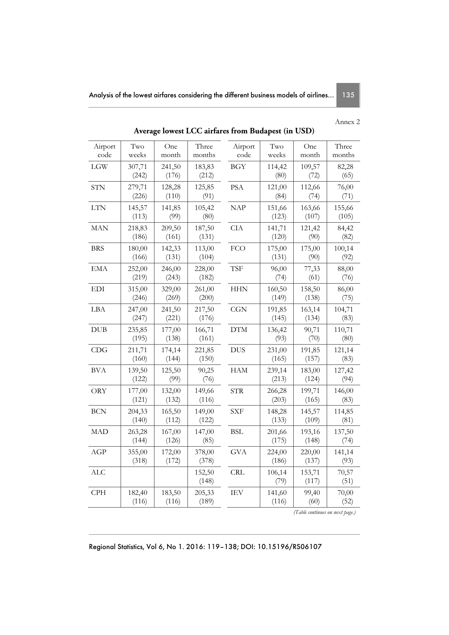## Annex 2

| Airport<br>code | Two<br>weeks    | One<br>month    | Three<br>months | Airport<br>code | Two<br>weeks    | One<br>month    | Three<br>months |  |
|-----------------|-----------------|-----------------|-----------------|-----------------|-----------------|-----------------|-----------------|--|
| LGW             | 307,71<br>(242) | 241,50<br>(176) | 183,83<br>(212) | <b>BGY</b>      | 114,42<br>(80)  | 109,57<br>(72)  | 82,28<br>(65)   |  |
| <b>STN</b>      | 279,71<br>(226) | 128,28<br>(110) | 125,85<br>(91)  | PSA             | 121,00<br>(84)  | 112,66<br>(74)  | 76,00<br>(71)   |  |
| <b>LTN</b>      | 145,57<br>(113) | 141,85<br>(99)  | 105,42<br>(80)  | <b>NAP</b>      | 151,66<br>(123) | 163,66<br>(107) | 155,66<br>(105) |  |
| <b>MAN</b>      | 218,83<br>(186) | 209,50<br>(161) | 187,50<br>(131) | <b>CIA</b>      | 141,71<br>(120) | 121,42<br>(90)  | 84,42<br>(82)   |  |
| <b>BRS</b>      | 180,00<br>(166) | 142,33<br>(131) | 113,00<br>(104) | FCO             | 175,00<br>(131) | 175,00<br>(90)  | 100,14<br>(92)  |  |
| <b>EMA</b>      | 252,00<br>(219) | 246,00<br>(243) | 228,00<br>(182) | <b>TSF</b>      | 96,00<br>(74)   | 77,33<br>(61)   | 88,00<br>(76)   |  |
| EDI             | 315,00<br>(246) | 329,00<br>(269) | 261,00<br>(200) | <b>HHN</b>      | 160,50<br>(149) | 158,50<br>(138) | 86,00<br>(75)   |  |
| LBA             | 247,00<br>(247) | 241,50<br>(221) | 217,50<br>(176) | CGN             | 191,85<br>(145) | 163,14<br>(134) | 104,71<br>(83)  |  |
| <b>DUB</b>      | 235,85<br>(195) | 177,00<br>(138) | 166,71<br>(161) | <b>DTM</b>      | 136,42<br>(93)  | 90,71<br>(70)   | 110,71<br>(80)  |  |
| CDG             | 211,71<br>(160) | 174,14<br>(144) | 221,85<br>(150) | <b>DUS</b>      | 231,00<br>(165) | 191,85<br>(157) | 121,14<br>(83)  |  |
| BVA             | 139,50<br>(122) | 125,50<br>(99)  | 90,25<br>(76)   | <b>HAM</b>      | 239,14<br>(213) | 183,00<br>(124) | 127,42<br>(94)  |  |
| ORY             | 177,00<br>(121) | 132,00<br>(132) | 149,66<br>(116) | <b>STR</b>      | 266,28<br>(203) | 199,71<br>(165) | 146,00<br>(83)  |  |
| <b>BCN</b>      | 204,33<br>(140) | 165,50<br>(112) | 149,00<br>(122) | <b>SXF</b>      | 148,28<br>(133) | 145,57<br>(109) | 114,85<br>(81)  |  |
| <b>MAD</b>      | 263,28<br>(144) | 167,00<br>(126) | 147,00<br>(85)  | <b>BSL</b>      | 201,66<br>(175) | 193,16<br>(148) | 137,50<br>(74)  |  |
| AGP             | 355,00<br>(318) | 172,00<br>(172) | 378,00<br>(378) | <b>GVA</b>      | 224,00<br>(186) | 220,00<br>(137) | 141,14<br>(93)  |  |
| <b>ALC</b>      |                 |                 | 152,50<br>(148) | <b>CRL</b>      | 106,14<br>(79)  | 153,71<br>(117) | 70,57<br>(51)   |  |
| <b>CPH</b>      | 182,40<br>(116) | 183,50<br>(116) | 205,33<br>(189) | IEV             | 141,60<br>(116) | 99,40<br>(60)   | 70,00<br>(52)   |  |

**Average lowest LCC airfares from Budapest (in USD)** 

 *(Table continues on next page.)* 

Regional Statistics, Vol 6, No 1. 2016: 119–138; DOI: 10.15196/RS06107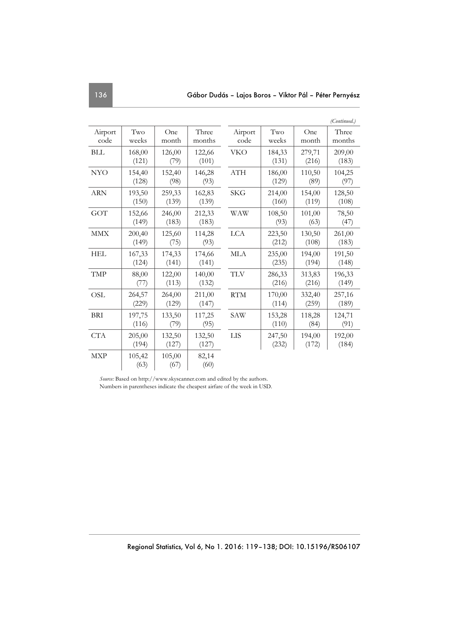|                 |                 |                 |                 |                 |                 |                 | (Continued.)    |
|-----------------|-----------------|-----------------|-----------------|-----------------|-----------------|-----------------|-----------------|
| Airport<br>code | Two<br>weeks    | One<br>month    | Three<br>months | Airport<br>code | Two<br>weeks    | One<br>month    | Three<br>months |
| <b>BLL</b>      | 168,00<br>(121) | 126,00<br>(79)  | 122,66<br>(101) | <b>VKO</b>      | 184,33<br>(131) | 279,71<br>(216) | 209,00<br>(183) |
| <b>NYO</b>      | 154,40<br>(128) | 152,40<br>(98)  | 146,28<br>(93)  | ATH             | 186,00<br>(129) | 110,50<br>(89)  | 104,25<br>(97)  |
| <b>ARN</b>      | 193,50<br>(150) | 259,33<br>(139) | 162,83<br>(139) | SKG             | 214,00<br>(160) | 154,00<br>(119) | 128,50<br>(108) |
| GOT             | 152,66<br>(149) | 246,00<br>(183) | 212,33<br>(183) | WAW             | 108,50<br>(93)  | 101,00<br>(63)  | 78,50<br>(47)   |
| MMX             | 200,40<br>(149) | 125,60<br>(75)  | 114,28<br>(93)  | <b>LCA</b>      | 223,50<br>(212) | 130,50<br>(108) | 261,00<br>(183) |
| <b>HEL</b>      | 167,33<br>(124) | 174,33<br>(141) | 174,66<br>(141) | <b>MLA</b>      | 235,00<br>(235) | 194,00<br>(194) | 191,50<br>(148) |
| TMP             | 88,00<br>(77)   | 122,00<br>(113) | 140,00<br>(132) | <b>TLV</b>      | 286,33<br>(216) | 313,83<br>(216) | 196,33<br>(149) |
| <b>OSL</b>      | 264,57<br>(229) | 264,00<br>(129) | 211,00<br>(147) | <b>RTM</b>      | 170,00<br>(114) | 332,40<br>(259) | 257,16<br>(189) |
| <b>BRI</b>      | 197,75<br>(116) | 133,50<br>(79)  | 117,25<br>(95)  | <b>SAW</b>      | 153,28<br>(110) | 118,28<br>(84)  | 124,71<br>(91)  |
| CTA             | 205,00<br>(194) | 132,50<br>(127) | 132,50<br>(127) | LIS             | 247,50<br>(232) | 194,00<br>(172) | 192,00<br>(184) |
| <b>MXP</b>      | 105,42<br>(63)  | 105,00<br>(67)  | 82,14<br>(60)   |                 |                 |                 |                 |

*Source:* Based on http://www.skyscanner.com and edited by the authors. Numbers in parentheses indicate the cheapest airfare of the week in USD.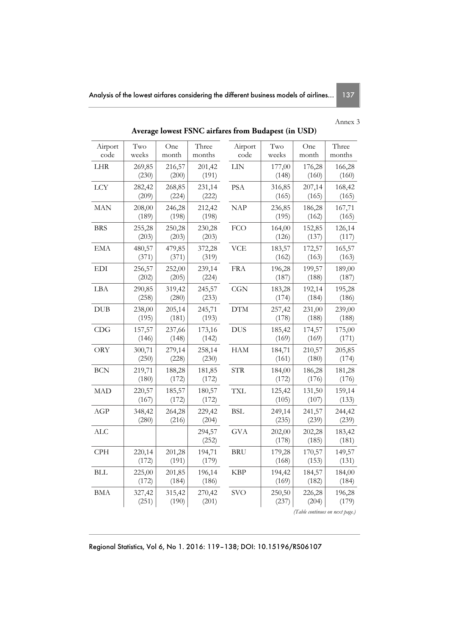## Annex 3

| Airport<br>code | Two<br>weeks    | One<br>month    | Three<br>months | Airport<br>code | Two<br>weeks    | One<br>month                    | Three<br>months |  |
|-----------------|-----------------|-----------------|-----------------|-----------------|-----------------|---------------------------------|-----------------|--|
| LHR             | 269,85<br>(230) | 216,57<br>(200) | 201,42<br>(191) | LIN             | 177,00<br>(148) | 176,28<br>(160)                 | 166,28<br>(160) |  |
| <b>LCY</b>      | 282,42<br>(209) | 268,85<br>(224) | 231,14<br>(222) | PSA             | 316,85<br>(165) | 207,14<br>(165)                 | 168,42<br>(165) |  |
| <b>MAN</b>      | 208,00<br>(189) | 246,28<br>(198) | 212,42<br>(198) | <b>NAP</b>      | 236,85<br>(195) | 186,28<br>(162)                 | 167,71<br>(165) |  |
| <b>BRS</b>      | 255,28<br>(203) | 250,28<br>(203) | 230,28<br>(203) | <b>FCO</b>      | 164,00<br>(126) | 152,85<br>(137)                 | 126,14<br>(117) |  |
| <b>EMA</b>      | 480,57<br>(371) | 479,85<br>(371) | 372,28<br>(319) | <b>VCE</b>      | 183,57<br>(162) | 172,57<br>(163)                 | 165,57<br>(163) |  |
| <b>EDI</b>      | 256,57<br>(202) | 252,00<br>(205) | 239,14<br>(224) | <b>FRA</b>      | 196,28<br>(187) | 199,57<br>(188)                 | 189,00<br>(187) |  |
| LBA             | 290,85<br>(258) | 319,42<br>(280) | 245,57<br>(233) | CGN             | 183,28<br>(174) | 192,14<br>(184)                 | 195,28<br>(186) |  |
| <b>DUB</b>      | 238,00<br>(195) | 205,14<br>(181) | 245,71<br>(193) | <b>DTM</b>      | 257,42<br>(178) | 231,00<br>(188)                 | 239,00<br>(188) |  |
| CDG             | 157,57<br>(146) | 237,66<br>(148) | 173,16<br>(142) | <b>DUS</b>      | 185,42<br>(169) | 174,57<br>(169)                 | 175,00<br>(171) |  |
| <b>ORY</b>      | 300,71<br>(250) | 279,14<br>(228) | 258,14<br>(230) | <b>HAM</b>      | 184,71<br>(161) | 210,57<br>(180)                 | 205,85<br>(174) |  |
| <b>BCN</b>      | 219,71<br>(180) | 188,28<br>(172) | 181,85<br>(172) | <b>STR</b>      | 184,00<br>(172) | 186,28<br>(176)                 | 181,28<br>(176) |  |
| <b>MAD</b>      | 220,57<br>(167) | 185,57<br>(172) | 180,57<br>(172) | <b>TXL</b>      | 125,42<br>(105) | 131,50<br>(107)                 | 159,14<br>(133) |  |
| AGP             | 348,42<br>(280) | 264,28<br>(216) | 229,42<br>(204) | <b>BSL</b>      | 249,14<br>(235) | 241,57<br>(239)                 | 244,42<br>(239) |  |
| <b>ALC</b>      |                 |                 | 294,57<br>(252) | <b>GVA</b>      | 202,00<br>(178) | 202,28<br>(185)                 | 183,42<br>(181) |  |
| <b>CPH</b>      | 220,14<br>(172) | 201,28<br>(191) | 194,71<br>(179) | <b>BRU</b>      | 179,28<br>(168) | 170,57<br>(153)                 | 149,57<br>(131) |  |
| <b>BLL</b>      | 225,00<br>(172) | 201,85<br>(184) | 196,14<br>(186) | <b>KBP</b>      | 194,42<br>(169) | 184,57<br>(182)                 | 184,00<br>(184) |  |
| <b>BMA</b>      | 327,42<br>(251) | 315,42<br>(190) | 270,42<br>(201) | <b>SVO</b>      | 250,50<br>(237) | 226,28<br>(204)                 | 196,28<br>(179) |  |
|                 |                 |                 |                 |                 |                 | (Table continues on next page.) |                 |  |

**Average lowest FSNC airfares from Budapest (in USD)** 

Regional Statistics, Vol 6, No 1. 2016: 119–138; DOI: 10.15196/RS06107